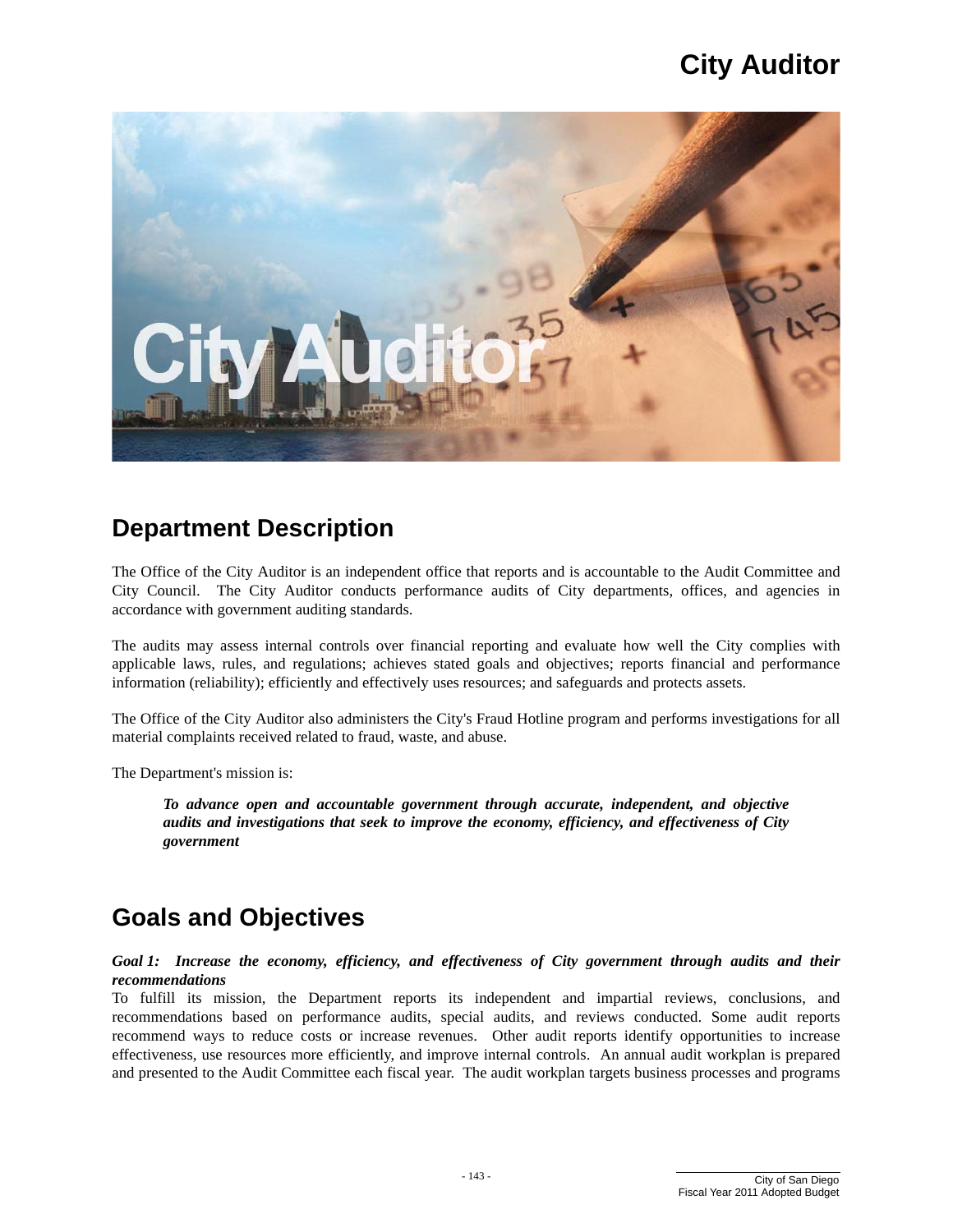

### **Department Description**

The Office of the City Auditor is an independent office that reports and is accountable to the Audit Committee and City Council. The City Auditor conducts performance audits of City departments, offices, and agencies in accordance with government auditing standards.

The audits may assess internal controls over financial reporting and evaluate how well the City complies with applicable laws, rules, and regulations; achieves stated goals and objectives; reports financial and performance information (reliability); efficiently and effectively uses resources; and safeguards and protects assets.

The Office of the City Auditor also administers the City's Fraud Hotline program and performs investigations for all material complaints received related to fraud, waste, and abuse.

The Department's mission is:

*To advance open and accountable government through accurate, independent, and objective audits and investigations that seek to improve the economy, efficiency, and effectiveness of City government* 

## **Goals and Objectives**

#### *Goal 1: Increase the economy, efficiency, and effectiveness of City government through audits and their recommendations*

To fulfill its mission, the Department reports its independent and impartial reviews, conclusions, and recommendations based on performance audits, special audits, and reviews conducted. Some audit reports recommend ways to reduce costs or increase revenues. Other audit reports identify opportunities to increase effectiveness, use resources more efficiently, and improve internal controls. An annual audit workplan is prepared and presented to the Audit Committee each fiscal year. The audit workplan targets business processes and programs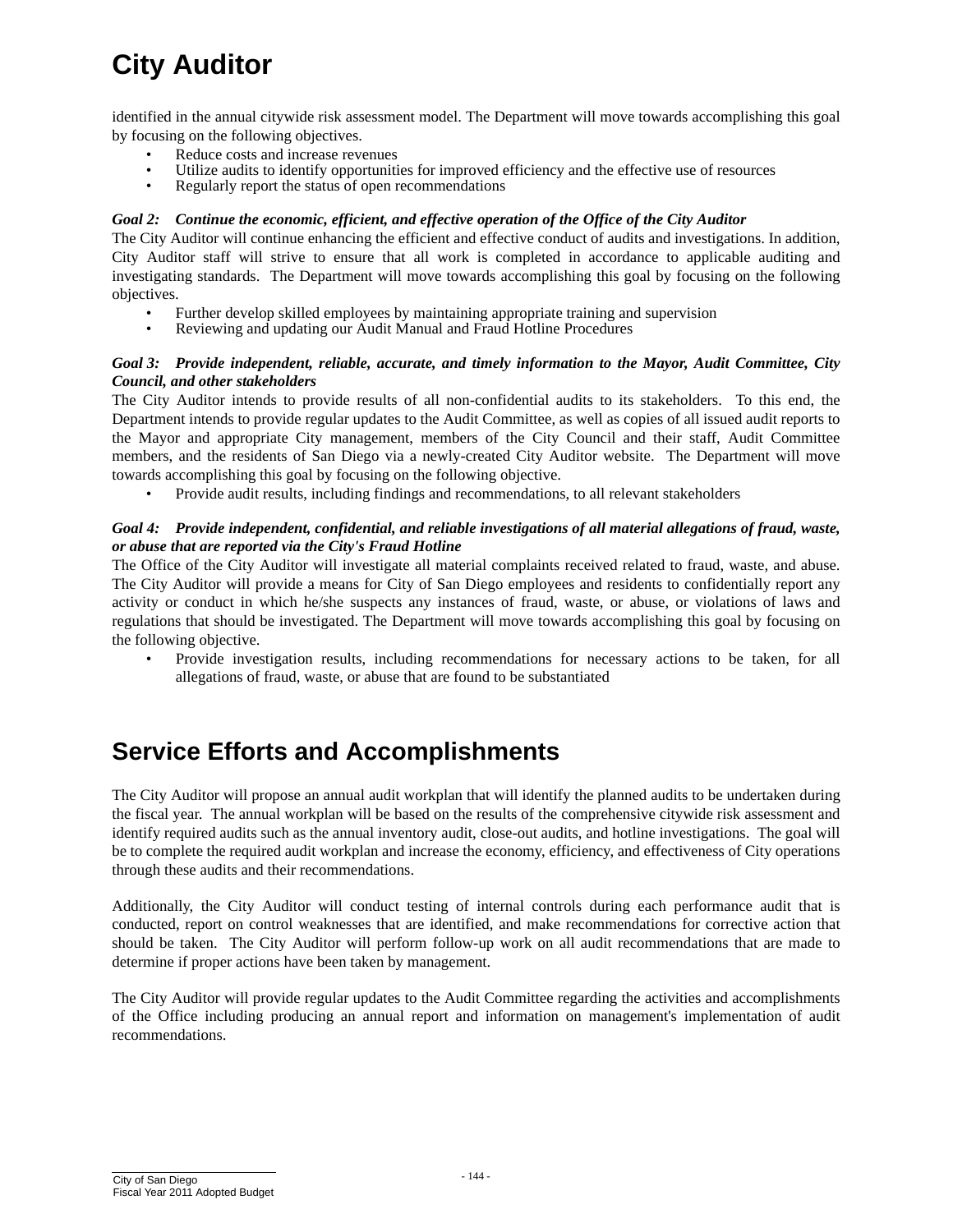identified in the annual citywide risk assessment model. The Department will move towards accomplishing this goal by focusing on the following objectives.

- Reduce costs and increase revenues
- Utilize audits to identify opportunities for improved efficiency and the effective use of resources Regularly report the status of open recommendations
- Regularly report the status of open recommendations

#### *Goal 2: Continue the economic, efficient, and effective operation of the Office of the City Auditor*

The City Auditor will continue enhancing the efficient and effective conduct of audits and investigations. In addition, City Auditor staff will strive to ensure that all work is completed in accordance to applicable auditing and investigating standards. The Department will move towards accomplishing this goal by focusing on the following objectives.

- Further develop skilled employees by maintaining appropriate training and supervision
- • Reviewing and updating our Audit Manual and Fraud Hotline Procedures

#### *Goal 3: Provide independent, reliable, accurate, and timely information to the Mayor, Audit Committee, City Council, and other stakeholders*

The City Auditor intends to provide results of all non-confidential audits to its stakeholders. To this end, the Department intends to provide regular updates to the Audit Committee, as well as copies of all issued audit reports to the Mayor and appropriate City management, members of the City Council and their staff, Audit Committee members, and the residents of San Diego via a newly-created City Auditor website. The Department will move towards accomplishing this goal by focusing on the following objective.

• Provide audit results, including findings and recommendations, to all relevant stakeholders

#### *Goal 4: Provide independent, confidential, and reliable investigations of all material allegations of fraud, waste, or abuse that are reported via the City's Fraud Hotline*

The Office of the City Auditor will investigate all material complaints received related to fraud, waste, and abuse. The City Auditor will provide a means for City of San Diego employees and residents to confidentially report any activity or conduct in which he/she suspects any instances of fraud, waste, or abuse, or violations of laws and regulations that should be investigated. The Department will move towards accomplishing this goal by focusing on the following objective.

Provide investigation results, including recommendations for necessary actions to be taken, for all allegations of fraud, waste, or abuse that are found to be substantiated

### **Service Efforts and Accomplishments**

 The City Auditor will propose an annual audit workplan that will identify the planned audits to be undertaken during the fiscal year. The annual workplan will be based on the results of the comprehensive citywide risk assessment and identify required audits such as the annual inventory audit, close-out audits, and hotline investigations. The goal will be to complete the required audit workplan and increase the economy, efficiency, and effectiveness of City operations through these audits and their recommendations.

 determine if proper actions have been taken by management. Additionally, the City Auditor will conduct testing of internal controls during each performance audit that is conducted, report on control weaknesses that are identified, and make recommendations for corrective action that should be taken. The City Auditor will perform follow-up work on all audit recommendations that are made to

The City Auditor will provide regular updates to the Audit Committee regarding the activities and accomplishments of the Office including producing an annual report and information on management's implementation of audit recommendations.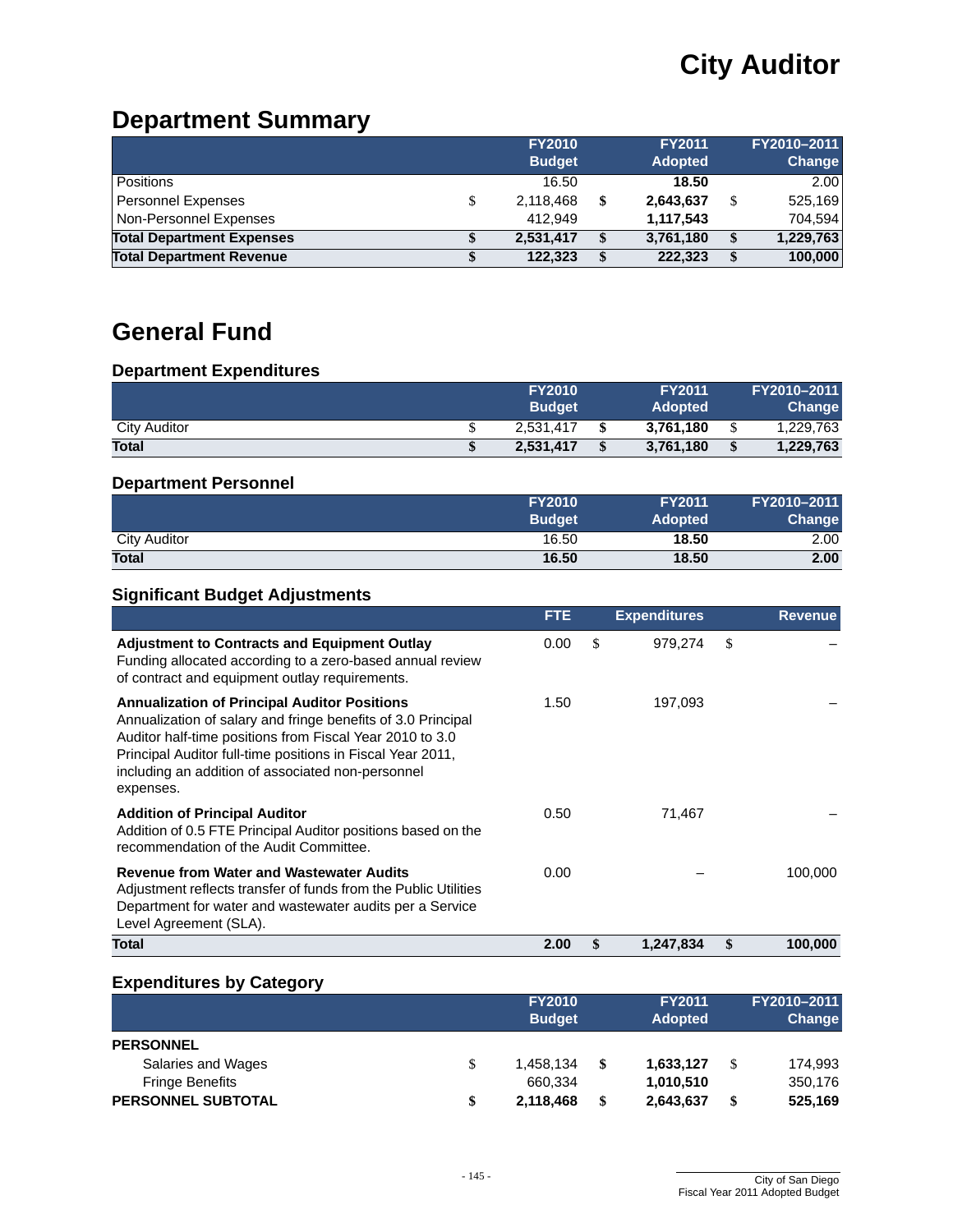## **Department Summary**

|                                  | <b>FY2010</b> | <b>FY2011</b>   | FY2010-2011     |
|----------------------------------|---------------|-----------------|-----------------|
|                                  | <b>Budget</b> | <b>Adopted</b>  | Change          |
| <b>Positions</b>                 | 16.50         | 18.50           | 2.00            |
| <b>Personnel Expenses</b>        | 2,118,468     | \$<br>2,643,637 | 525,169         |
| Non-Personnel Expenses           | 412.949       | 1,117,543       | 704.594         |
| <b>Total Department Expenses</b> | 2,531,417     | \$<br>3,761,180 | \$<br>1,229,763 |
| <b>Total Department Revenue</b>  | 122,323       | \$<br>222,323   | \$<br>100,000   |

## **General Fund**

#### **Department Expenditures**

|                     | <b>FY2010</b> |               | <b>FY2011</b>  | FY2010-2011 |
|---------------------|---------------|---------------|----------------|-------------|
|                     | <b>Budget</b> |               | <b>Adopted</b> | Change      |
| <b>City Auditor</b> | 2.531.417     |               | 3.761.180      | 1.229.763   |
| <b>Total</b>        | 2.531.417     | <sup>\$</sup> | 3.761.180      | 1,229,763   |

#### **Department Personnel**

|              | <b>FY2010</b> | <b>FY2011</b>  | FY2010-2011   |
|--------------|---------------|----------------|---------------|
|              | <b>Budget</b> | <b>Adopted</b> | <b>Change</b> |
| City Auditor | 16.50         | 18.50          | 2.00          |
| <b>Total</b> | 16.50         | 18.50          | 2.00          |

#### **Significant Budget Adjustments**

|                                                                                                                                                                                                                                                                                                                 | <b>FTE</b> | <b>Expenditures</b> | <b>Revenue</b> |
|-----------------------------------------------------------------------------------------------------------------------------------------------------------------------------------------------------------------------------------------------------------------------------------------------------------------|------------|---------------------|----------------|
| <b>Adjustment to Contracts and Equipment Outlay</b><br>Funding allocated according to a zero-based annual review<br>of contract and equipment outlay requirements.                                                                                                                                              | 0.00       | \$<br>979.274       | \$             |
| <b>Annualization of Principal Auditor Positions</b><br>Annualization of salary and fringe benefits of 3.0 Principal<br>Auditor half-time positions from Fiscal Year 2010 to 3.0<br>Principal Auditor full-time positions in Fiscal Year 2011,<br>including an addition of associated non-personnel<br>expenses. | 1.50       | 197,093             |                |
| <b>Addition of Principal Auditor</b><br>Addition of 0.5 FTE Principal Auditor positions based on the<br>recommendation of the Audit Committee.                                                                                                                                                                  | 0.50       | 71,467              |                |
| <b>Revenue from Water and Wastewater Audits</b><br>Adjustment reflects transfer of funds from the Public Utilities<br>Department for water and wastewater audits per a Service<br>Level Agreement (SLA).                                                                                                        | 0.00       |                     | 100,000        |
| Total                                                                                                                                                                                                                                                                                                           | 2.00       | \$<br>1,247,834     | \$<br>100,000  |

#### **Expenditures by Category**

|                           |   | <b>FY2010</b><br><b>Budget</b> |    | <b>FY2011</b><br><b>Adopted</b> |   | FY2010-2011<br>Change |  |
|---------------------------|---|--------------------------------|----|---------------------------------|---|-----------------------|--|
| <b>PERSONNEL</b>          |   |                                |    |                                 |   |                       |  |
| Salaries and Wages        |   | 1,458,134                      | \$ | 1,633,127                       | S | 174,993               |  |
| <b>Fringe Benefits</b>    |   | 660,334                        |    | 1,010,510                       |   | 350,176               |  |
| <b>PERSONNEL SUBTOTAL</b> | S | 2,118,468                      | \$ | 2,643,637                       | S | 525,169               |  |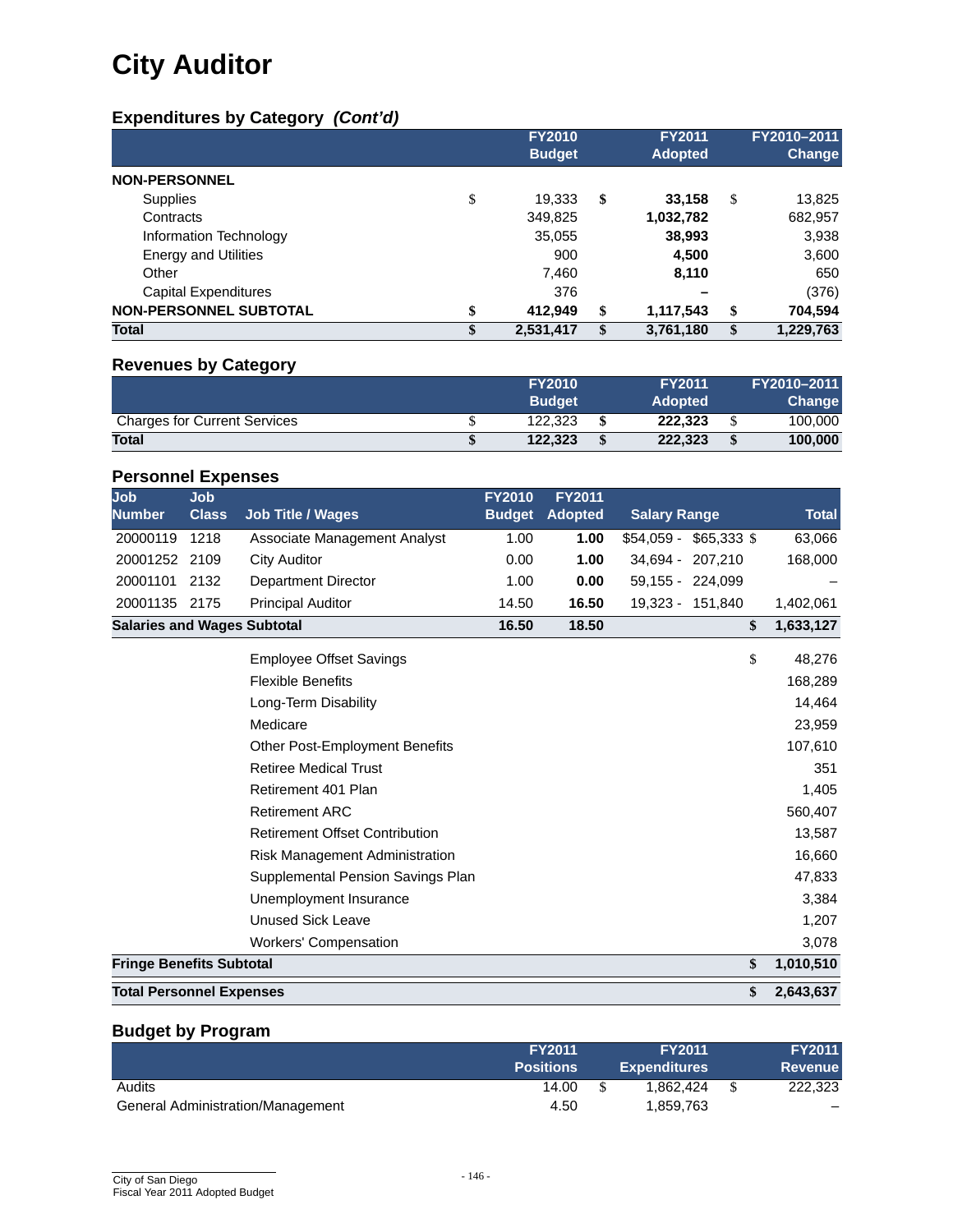### **Expenditures by Category** *(Cont'd)*

|                               |    | <b>FY2010</b><br><b>Budget</b> | <b>FY2011</b><br><b>Adopted</b> |    | FY2010-2011<br>Change |
|-------------------------------|----|--------------------------------|---------------------------------|----|-----------------------|
| <b>NON-PERSONNEL</b>          |    |                                |                                 |    |                       |
| <b>Supplies</b>               | \$ | 19,333                         | \$<br>33,158                    | S  | 13,825                |
| Contracts                     |    | 349,825                        | 1,032,782                       |    | 682,957               |
| Information Technology        |    | 35,055                         | 38,993                          |    | 3,938                 |
| <b>Energy and Utilities</b>   |    | 900                            | 4,500                           |    | 3,600                 |
| Other                         |    | 7.460                          | 8,110                           |    | 650                   |
| Capital Expenditures          |    | 376                            |                                 |    | (376)                 |
| <b>NON-PERSONNEL SUBTOTAL</b> | \$ | 412.949                        | \$<br>1,117,543                 | \$ | 704,594               |
| <b>Total</b>                  | S  | 2,531,417                      | \$<br>3,761,180                 | \$ | 1,229,763             |

#### **Revenues by Category**

|                                     | <b>FY2010</b> | <b>FY2011</b>  | FY2010-2011   |
|-------------------------------------|---------------|----------------|---------------|
|                                     | <b>Budget</b> | <b>Adopted</b> | <b>Change</b> |
| <b>Charges for Current Services</b> | 122.323       | 222.323        | 100.000       |
| <b>Total</b>                        | 122.323       | 222.323        | 100.000       |

#### **Personnel Expenses**

| <b>Job</b><br><b>Number</b>        | Job.<br><b>Class</b> | <b>Job Title / Wages</b>     | <b>FY2010</b><br><b>Budget</b> | <b>FY2011</b><br><b>Adopted</b> | <b>Salary Range</b>         | <b>Total</b> |
|------------------------------------|----------------------|------------------------------|--------------------------------|---------------------------------|-----------------------------|--------------|
| 20000119                           | 1218                 | Associate Management Analyst | 1.00                           | 1.00                            | $$65.333$ \$<br>$$54.059 -$ | 63,066       |
| 20001252                           | 2109                 | City Auditor                 | 0.00                           | 1.00                            | 34.694 - 207.210            | 168,000      |
| 20001101                           | 2132                 | Department Director          | 1.00                           | 0.00                            | 59.155 - 224.099            |              |
| 20001135                           | 2175                 | <b>Principal Auditor</b>     | 14.50                          | 16.50                           | 19.323 - 151.840            | 1,402,061    |
| <b>Salaries and Wages Subtotal</b> |                      |                              | 16.50                          | 18.50                           |                             | 1,633,127    |

| <b>Total Personnel Expenses</b>       | \$<br>2,643,637 |
|---------------------------------------|-----------------|
| <b>Fringe Benefits Subtotal</b>       | \$<br>1,010,510 |
| <b>Workers' Compensation</b>          | 3,078           |
| <b>Unused Sick Leave</b>              | 1,207           |
| Unemployment Insurance                | 3,384           |
| Supplemental Pension Savings Plan     | 47,833          |
| Risk Management Administration        | 16,660          |
| <b>Retirement Offset Contribution</b> | 13,587          |
| <b>Retirement ARC</b>                 | 560,407         |
| Retirement 401 Plan                   | 1,405           |
| <b>Retiree Medical Trust</b>          | 351             |
| <b>Other Post-Employment Benefits</b> | 107,610         |
| Medicare                              | 23,959          |
| Long-Term Disability                  | 14,464          |
| <b>Flexible Benefits</b>              | 168,289         |
| <b>Employee Offset Savings</b>        | \$<br>48,276    |
|                                       |                 |

### **Budget by Program**

|                                          | <b>FY2011</b><br><b>Positions</b> | <b>FY2011</b><br><b>Expenditures</b> | <b>FY2011</b><br><b>Revenue</b> |
|------------------------------------------|-----------------------------------|--------------------------------------|---------------------------------|
| Audits                                   | 14.00                             | 1.862.424                            | 222,323                         |
| <b>General Administration/Management</b> | 4.50                              | 1,859,763                            |                                 |